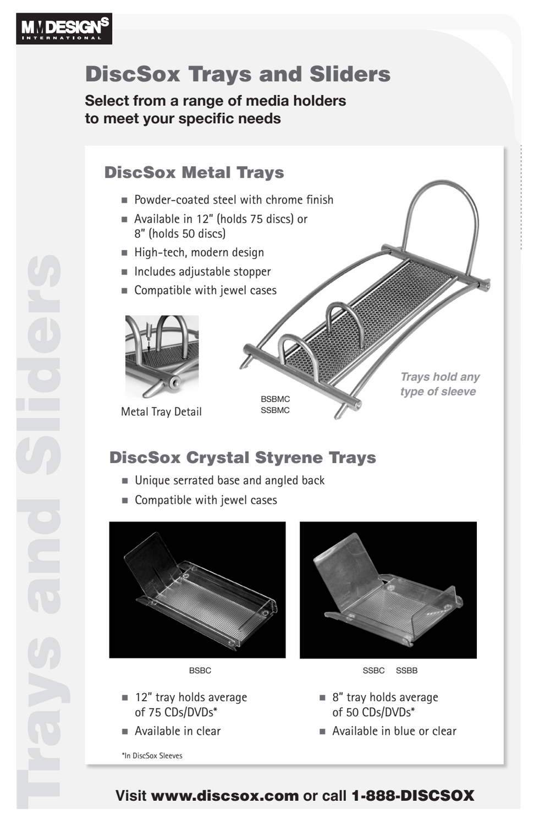

# DiscSox Trays and Sliders

**Select from a range of media holders to meet your specific needs**

### DiscSox Metal Trays

- $\blacksquare$  Powder-coated steel with chrome finish
- n Available in 12" (holds 75 discs) or 8" (holds 50 discs)
- $\blacksquare$  High-tech, modern design
- n Includes adjustable stopper
- **n** Compatible with jewel cases



Metal Tray Detail

**Trays hold any type of sleeve** 

# DiscSox Crystal Styrene Trays

**SSBMC** 

- Unique serrated base and angled back
- $\blacksquare$  Compatible with jewel cases



- $\blacksquare$  12" tray holds average of 75 CDs/DVDs\*
- n Available in clear

\*In DiscSox Sleeves



BSBC SSBC SSBB

- $\blacksquare$  8" tray holds average of 50 CDs/DVDs\*
- n Available in blue or clear

#### **Visit** www.discsox.com **or call** 1-888-DISCSOX